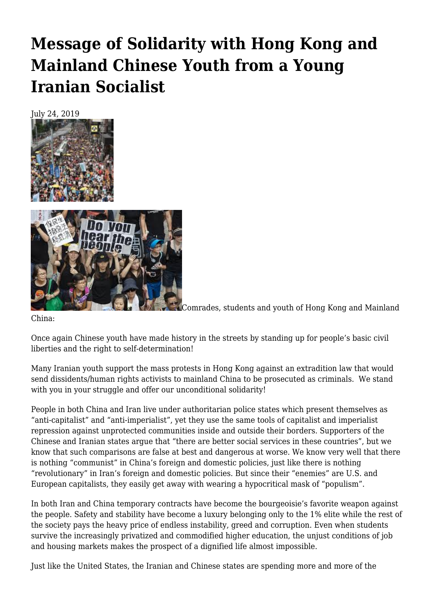## **[Message of Solidarity with Hong Kong and](https://newpol.org/message-of-solidarity-with-hong-kong-and-mainland-chinese-youth-from-a-young-iranian-socialist/) [Mainland Chinese Youth from a Young](https://newpol.org/message-of-solidarity-with-hong-kong-and-mainland-chinese-youth-from-a-young-iranian-socialist/) [Iranian Socialist](https://newpol.org/message-of-solidarity-with-hong-kong-and-mainland-chinese-youth-from-a-young-iranian-socialist/)**





Comrades, students and youth of Hong Kong and Mainland

China:

Once again Chinese youth have made history in the streets by standing up for people's basic civil liberties and the right to self-determination!

Many Iranian youth support the mass protests in Hong Kong against an extradition law that would send dissidents/human rights activists to mainland China to be prosecuted as criminals. We stand with you in your struggle and offer our unconditional solidarity!

People in both China and Iran live under authoritarian police states which present themselves as "anti-capitalist" and "anti-imperialist", yet they use the same tools of capitalist and imperialist repression against unprotected communities inside and outside their borders. Supporters of the Chinese and Iranian states argue that "there are better social services in these countries", but we know that such comparisons are false at best and dangerous at worse. We know very well that there is nothing "communist" in China's foreign and domestic policies, just like there is nothing "revolutionary" in Iran's foreign and domestic policies. But since their "enemies" are U.S. and European capitalists, they easily get away with wearing a hypocritical mask of "populism".

In both Iran and China temporary contracts have become the bourgeoisie's favorite weapon against the people. Safety and stability have become a luxury belonging only to the 1% elite while the rest of the society pays the heavy price of endless instability, greed and corruption. Even when students survive the increasingly privatized and commodified higher education, the unjust conditions of job and housing markets makes the prospect of a dignified life almost impossible.

Just like the United States, the Iranian and Chinese states are spending more and more of the